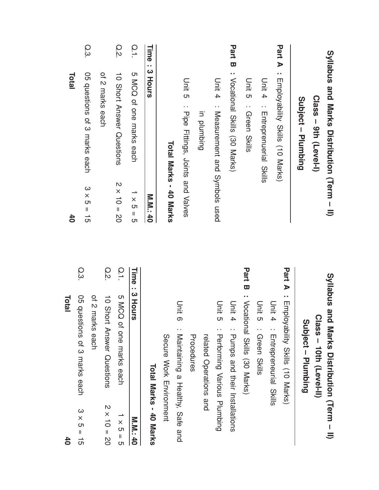| <b>Total</b><br>$\mathbf{40}$<br>Total | Q.3<br>05 ques<br>stions of 3 marks each | Q.3<br>O5 questions of 3 marks each<br>$3 \times 5 = 15$<br>of 2 marks each | of 2 marks each<br>Q.2<br>10 Short Answer Questions | O.2<br>10 Short Answer Ouestions<br>$2 \times 10 = 20$<br>Q.1<br><b>S MCQ</b><br>of one marks each | $\overline{O}$<br>5 MCQ of one marks each<br>$\frac{1}{x}$<br>။<br>ဟ<br>Time<br>: 3 Hours | Time<br>.,<br>$\omega$<br>Hours<br><b>M.M.140</b> | Total Marks - 40 Marks<br>Secure Mork Hirchnert | Unit 5<br>: Pipe Fittings, Joints and Valves<br>Unit<br>တ<br>Maintaining a Healthy, Safe | pridmbing<br>Procedures<br>related Operations and | Unit 4<br>: Measurement and Symbols used<br>Unit 5<br>: Performing Various Plumbing | <b>Part B</b> : <i>Nocational Skills</i> (30 Marks)<br>Unit 4<br>: Pumps and their lustallations | Unit a : Green Skills<br>Part B<br>: Vocational Skills (30 Marks) | Unit 4<br>: Entreprenencial<br>Skills<br>Unit 5<br>: Green Skills | Part A<br>: Enpovability Skills (10 Marks)<br>Unit 4<br>: Entreprenential<br>Skills | Part A<br>: Employability Skills (10 Narks) | Subject - Plumbing<br>Subject - Plumbing | Class - 9th (Level-I)<br>Class - 10th (Level-II) |
|----------------------------------------|------------------------------------------|-----------------------------------------------------------------------------|-----------------------------------------------------|----------------------------------------------------------------------------------------------------|-------------------------------------------------------------------------------------------|---------------------------------------------------|-------------------------------------------------|------------------------------------------------------------------------------------------|---------------------------------------------------|-------------------------------------------------------------------------------------|--------------------------------------------------------------------------------------------------|-------------------------------------------------------------------|-------------------------------------------------------------------|-------------------------------------------------------------------------------------|---------------------------------------------|------------------------------------------|--------------------------------------------------|
|                                        |                                          |                                                                             |                                                     |                                                                                                    |                                                                                           | Total Marks - 40 Ma                               |                                                 |                                                                                          |                                                   |                                                                                     |                                                                                                  |                                                                   |                                                                   |                                                                                     |                                             |                                          |                                                  |

and

Marks

M.<br>M.

× ပာ  $\overline{\phantom{a}}$ ပာ

さ  $\overline{\phantom{a}}$ م<br>0

সে  $\overline{\phantom{a}}$ 15 40

40

–  $\equiv$